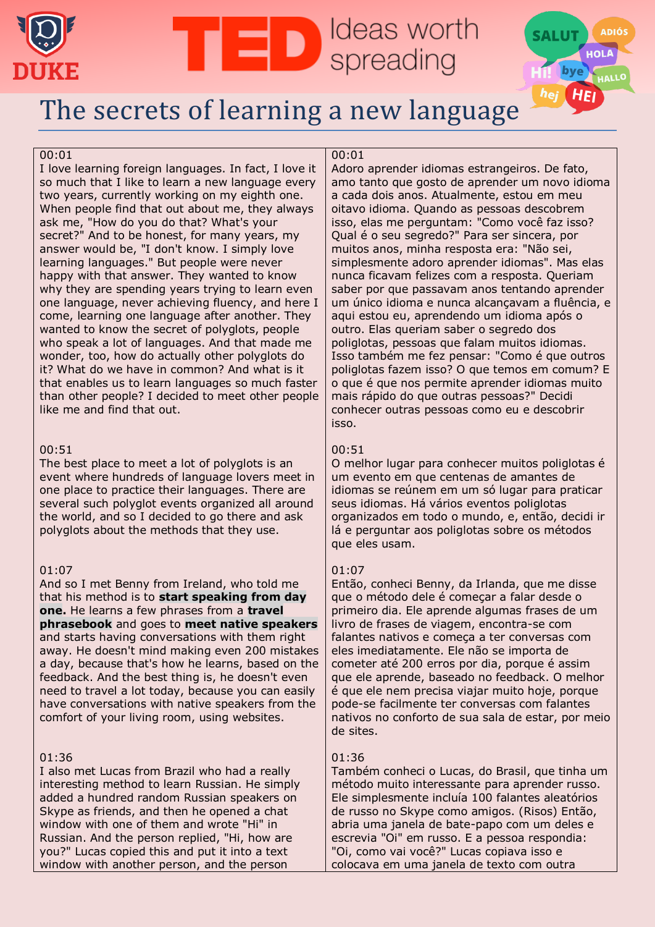



## [The secrets of learning a new language](https://www.ted.com/talks/lydia_machova_the_secrets_of_learning_a_new_language/transcript?language=pt-br&trk=organization-update-content_share-video-embed_share-article_title)

#### 00:01

I love learning foreign languages. In fact, I love it so much that I like to learn a new language every two years, currently working on my eighth one. When people find that out about me, they always ask me, "How do you do that? What's your secret?" And to be honest, for many years, my answer would be, "I don't know. I simply love learning languages." But people were never happy with that answer. They wanted to know why they are spending years trying to learn even one language, never achieving fluency, and here I come, learning one language after another. They wanted to know the secret of polyglots, people who speak a lot of languages. And that made me wonder, too, how do actually other polyglots do it? What do we have in common? And what is it that enables us to learn languages so much faster than other people? I decided to meet other people like me and find that out.

## 00:51

The best place to meet a lot of polyglots is an event where hundreds of language lovers meet in one place to practice their languages. There are several such polyglot events organized all around the world, and so I decided to go there and ask polyglots about the methods that they use.

#### 01:07

And so I met Benny from Ireland, who told me that his method is to **start speaking from day one.** He learns a few phrases from a **travel phrasebook** and goes to **meet native speakers** and starts having conversations with them right away. He doesn't mind making even 200 mistakes a day, because that's how he learns, based on the feedback. And the best thing is, he doesn't even need to travel a lot today, because you can easily have conversations with native speakers from the comfort of your living room, using websites.

## 01:36

I also met Lucas from Brazil who had a really interesting method to learn Russian. He simply added a hundred random Russian speakers on Skype as friends, and then he opened a chat window with one of them and wrote "Hi" in Russian. And the person replied, "Hi, how are you?" Lucas copied this and put it into a text window with another person, and the person

## 00:01

**D** Ideas worth

Adoro aprender idiomas estrangeiros. De fato, amo tanto que gosto de aprender um novo idioma a cada dois anos. Atualmente, estou em meu oitavo idioma. Quando as pessoas descobrem isso, elas me perguntam: "Como você faz isso? Qual é o seu segredo?" Para ser sincera, por muitos anos, minha resposta era: "Não sei, simplesmente adoro aprender idiomas". Mas elas nunca ficavam felizes com a resposta. Queriam saber por que passavam anos tentando aprender um único idioma e nunca alcançavam a fluência, e aqui estou eu, aprendendo um idioma após o outro. Elas queriam saber o segredo dos poliglotas, pessoas que falam muitos idiomas. Isso também me fez pensar: "Como é que outros poliglotas fazem isso? O que temos em comum? E o que é que nos permite aprender idiomas muito mais rápido do que outras pessoas?" Decidi conhecer outras pessoas como eu e descobrir isso.

## 00:51

O melhor lugar para conhecer muitos poliglotas é um evento em que centenas de amantes de idiomas se reúnem em um só lugar para praticar seus idiomas. Há vários eventos poliglotas organizados em todo o mundo, e, então, decidi ir lá e perguntar aos poliglotas sobre os métodos que eles usam.

## 01:07

Então, conheci Benny, da Irlanda, que me disse que o método dele é começar a falar desde o primeiro dia. Ele aprende algumas frases de um livro de frases de viagem, encontra-se com falantes nativos e começa a ter conversas com eles imediatamente. Ele não se importa de cometer até 200 erros por dia, porque é assim que ele aprende, baseado no feedback. O melhor é que ele nem precisa viajar muito hoje, porque pode-se facilmente ter conversas com falantes nativos no conforto de sua sala de estar, por meio de sites.

## 01:36

Também conheci o Lucas, do Brasil, que tinha um método muito interessante para aprender russo. Ele simplesmente incluía 100 falantes aleatórios de russo no Skype como amigos. (Risos) Então, abria uma janela de bate-papo com um deles e escrevia "Oi" em russo. E a pessoa respondia: "Oi, como vai você?" Lucas copiava isso e colocava em uma janela de texto com outra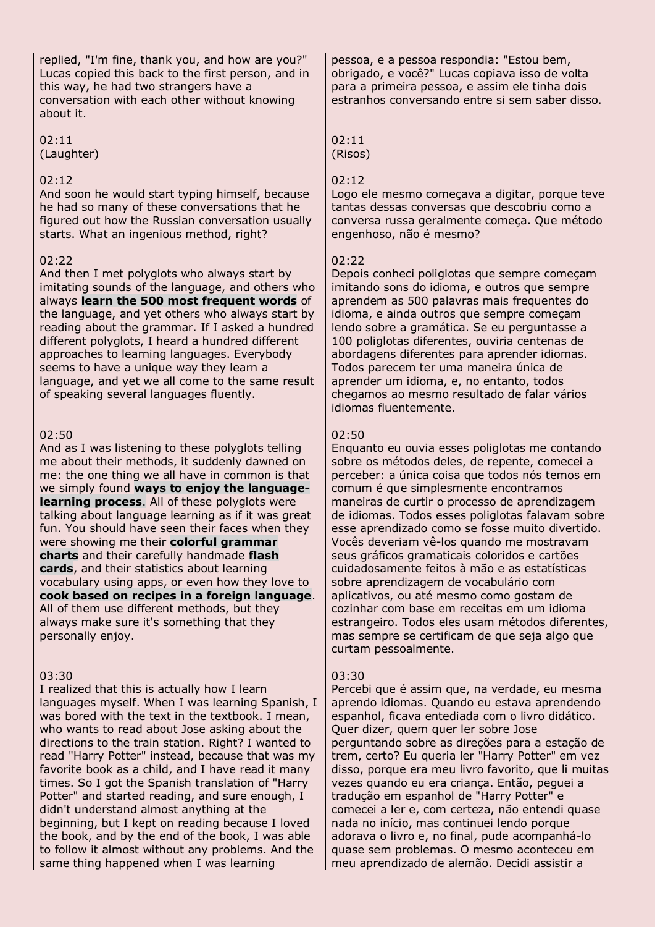replied, "I'm fine, thank you, and how are you?" Lucas copied this back to the first person, and in this way, he had two strangers have a conversation with each other without knowing about it.

02:11 (Laughter)

#### 02:12

And soon he would start typing himself, because he had so many of these conversations that he figured out how the Russian conversation usually starts. What an ingenious method, right?

#### 02:22

And then I met polyglots who always start by imitating sounds of the language, and others who always **learn the 500 most frequent words** of the language, and yet others who always start by reading about the grammar. If I asked a hundred different polyglots, I heard a hundred different approaches to learning languages. Everybody seems to have a unique way they learn a language, and yet we all come to the same result of speaking several languages fluently.

#### 02:50

And as I was listening to these polyglots telling me about their methods, it suddenly dawned on me: the one thing we all have in common is that we simply found **ways to enjoy the languagelearning process**. All of these polyglots were talking about language learning as if it was great fun. You should have seen their faces when they were showing me their **colorful grammar charts** and their carefully handmade **flash cards**, and their statistics about learning vocabulary using apps, or even how they love to **cook based on recipes in a foreign language**. All of them use different methods, but they always make sure it's something that they personally enjoy.

#### 03:30

I realized that this is actually how I learn languages myself. When I was learning Spanish, I was bored with the text in the textbook. I mean, who wants to read about Jose asking about the directions to the train station. Right? I wanted to read "Harry Potter" instead, because that was my favorite book as a child, and I have read it many times. So I got the Spanish translation of "Harry Potter" and started reading, and sure enough, I didn't understand almost anything at the beginning, but I kept on reading because I loved the book, and by the end of the book, I was able to follow it almost without any problems. And the same thing happened when I was learning

pessoa, e a pessoa respondia: "Estou bem, obrigado, e você?" Lucas copiava isso de volta para a primeira pessoa, e assim ele tinha dois estranhos conversando entre si sem saber disso.

02:11 (Risos)

#### 02:12

Logo ele mesmo começava a digitar, porque teve tantas dessas conversas que descobriu como a conversa russa geralmente começa. Que método engenhoso, não é mesmo?

#### $02.22$

Depois conheci poliglotas que sempre começam imitando sons do idioma, e outros que sempre aprendem as 500 palavras mais frequentes do idioma, e ainda outros que sempre começam lendo sobre a gramática. Se eu perguntasse a 100 poliglotas diferentes, ouviria centenas de abordagens diferentes para aprender idiomas. Todos parecem ter uma maneira única de aprender um idioma, e, no entanto, todos chegamos ao mesmo resultado de falar vários idiomas fluentemente.

## 02:50

Enquanto eu ouvia esses poliglotas me contando sobre os métodos deles, de repente, comecei a perceber: a única coisa que todos nós temos em comum é que simplesmente encontramos maneiras de curtir o processo de aprendizagem de idiomas. Todos esses poliglotas falavam sobre esse aprendizado como se fosse muito divertido. Vocês deveriam vê-los quando me mostravam seus gráficos gramaticais coloridos e cartões cuidadosamente feitos à mão e as estatísticas sobre aprendizagem de vocabulário com aplicativos, ou até mesmo como gostam de cozinhar com base em receitas em um idioma estrangeiro. Todos eles usam métodos diferentes, mas sempre se certificam de que seja algo que curtam pessoalmente.

#### 03:30

Percebi que é assim que, na verdade, eu mesma aprendo idiomas. Quando eu estava aprendendo espanhol, ficava entediada com o livro didático. Quer dizer, quem quer ler sobre Jose perguntando sobre as direções para a estação de trem, certo? Eu queria ler "Harry Potter" em vez disso, porque era meu livro favorito, que li muitas vezes quando eu era criança. Então, peguei a tradução em espanhol de "Harry Potter" e comecei a ler e, com certeza, não entendi quase nada no início, mas continuei lendo porque adorava o livro e, no final, pude acompanhá-lo quase sem problemas. O mesmo aconteceu em meu aprendizado de alemão. Decidi assistir a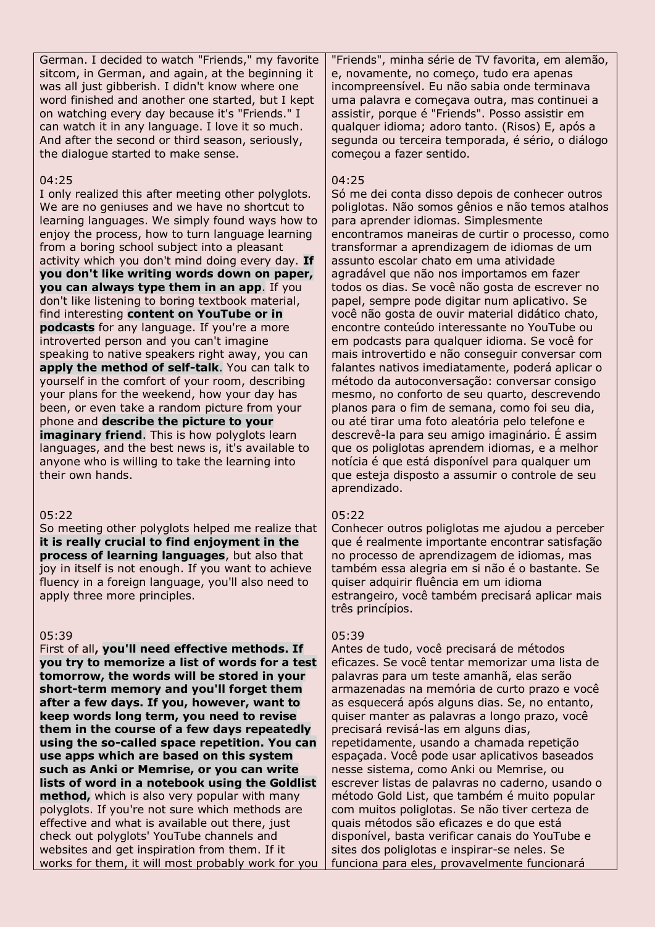German. I decided to watch "Friends," my favorite sitcom, in German, and again, at the beginning it was all just gibberish. I didn't know where one word finished and another one started, but I kept on watching every day because it's "Friends." I can watch it in any language. I love it so much. And after the second or third season, seriously, the dialogue started to make sense.

#### 04:25

I only realized this after meeting other polyglots. We are no geniuses and we have no shortcut to learning languages. We simply found ways how to enjoy the process, how to turn language learning from a boring school subject into a pleasant activity which you don't mind doing every day. **If you don't like writing words down on paper, you can always type them in an app**. If you don't like listening to boring textbook material, find interesting **content on YouTube or in podcasts** for any language. If you're a more introverted person and you can't imagine speaking to native speakers right away, you can **apply the method of self-talk**. You can talk to yourself in the comfort of your room, describing your plans for the weekend, how your day has been, or even take a random picture from your phone and **describe the picture to your imaginary friend.** This is how polyglots learn languages, and the best news is, it's available to anyone who is willing to take the learning into their own hands.

#### 05:22

So meeting other polyglots helped me realize that **it is really crucial to find enjoyment in the process of learning languages**, but also that joy in itself is not enough. If you want to achieve fluency in a foreign language, you'll also need to apply three more principles.

#### 05:39

First of all**, you'll need effective methods. If you try to memorize a list of words for a test tomorrow, the words will be stored in your short-term memory and you'll forget them after a few days. If you, however, want to keep words long term, you need to revise them in the course of a few days repeatedly using the so-called space repetition. You can use apps which are based on this system such as Anki or Memrise, or you can write lists of word in a notebook using the Goldlist method,** which is also very popular with many polyglots. If you're not sure which methods are effective and what is available out there, just check out polyglots' YouTube channels and websites and get inspiration from them. If it works for them, it will most probably work for you "Friends", minha série de TV favorita, em alemão, e, novamente, no começo, tudo era apenas incompreensível. Eu não sabia onde terminava uma palavra e começava outra, mas continuei a assistir, porque é "Friends". Posso assistir em qualquer idioma; adoro tanto. (Risos) E, após a segunda ou terceira temporada, é sério, o diálogo começou a fazer sentido.

#### 04:25

Só me dei conta disso depois de conhecer outros poliglotas. Não somos gênios e não temos atalhos para aprender idiomas. Simplesmente encontramos maneiras de curtir o processo, como transformar a aprendizagem de idiomas de um assunto escolar chato em uma atividade agradável que não nos importamos em fazer todos os dias. Se você não gosta de escrever no papel, sempre pode digitar num aplicativo. Se você não gosta de ouvir material didático chato, encontre conteúdo interessante no YouTube ou em podcasts para qualquer idioma. Se você for mais introvertido e não conseguir conversar com falantes nativos imediatamente, poderá aplicar o método da autoconversação: conversar consigo mesmo, no conforto de seu quarto, descrevendo planos para o fim de semana, como foi seu dia, ou até tirar uma foto aleatória pelo telefone e descrevê-la para seu amigo imaginário. É assim que os poliglotas aprendem idiomas, e a melhor notícia é que está disponível para qualquer um que esteja disposto a assumir o controle de seu aprendizado.

## $05:22$

Conhecer outros poliglotas me ajudou a perceber que é realmente importante encontrar satisfação no processo de aprendizagem de idiomas, mas também essa alegria em si não é o bastante. Se quiser adquirir fluência em um idioma estrangeiro, você também precisará aplicar mais três princípios.

#### 05:39

Antes de tudo, você precisará de métodos eficazes. Se você tentar memorizar uma lista de palavras para um teste amanhã, elas serão armazenadas na memória de curto prazo e você as esquecerá após alguns dias. Se, no entanto, quiser manter as palavras a longo prazo, você precisará revisá-las em alguns dias, repetidamente, usando a chamada repetição espaçada. Você pode usar aplicativos baseados nesse sistema, como Anki ou Memrise, ou escrever listas de palavras no caderno, usando o método Gold List, que também é muito popular com muitos poliglotas. Se não tiver certeza de quais métodos são eficazes e do que está disponível, basta verificar canais do YouTube e sites dos poliglotas e inspirar-se neles. Se funciona para eles, provavelmente funcionará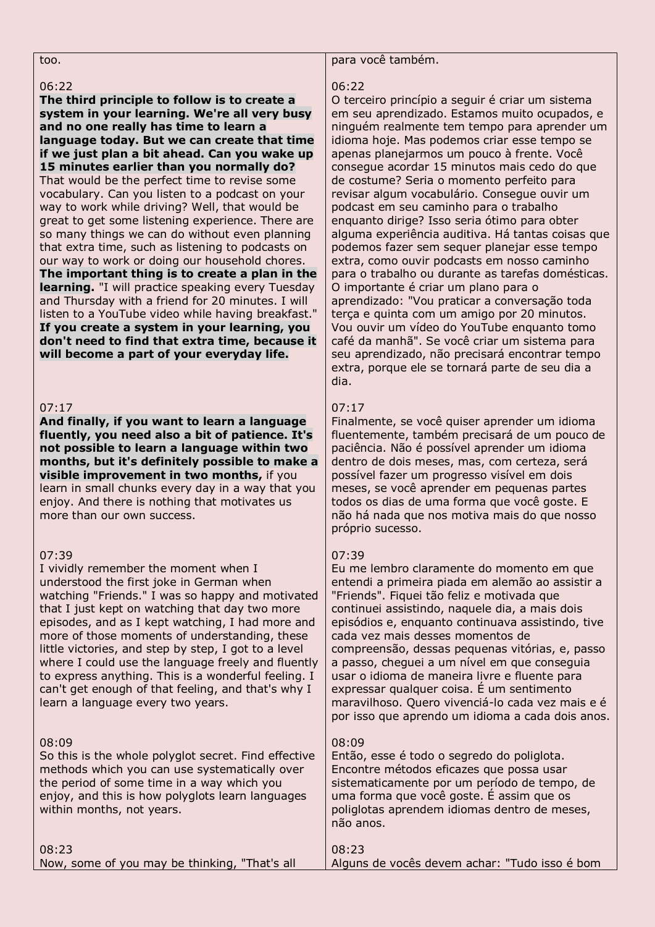too.

#### 06:22

**The third principle to follow is to create a system in your learning. We're all very busy and no one really has time to learn a language today. But we can create that time if we just plan a bit ahead. Can you wake up 15 minutes earlier than you normally do?** That would be the perfect time to revise some vocabulary. Can you listen to a podcast on your way to work while driving? Well, that would be great to get some listening experience. There are so many things we can do without even planning that extra time, such as listening to podcasts on our way to work or doing our household chores. **The important thing is to create a plan in the learning.** "I will practice speaking every Tuesday and Thursday with a friend for 20 minutes. I will listen to a YouTube video while having breakfast." **If you create a system in your learning, you don't need to find that extra time, because it will become a part of your everyday life.**

## 07:17

#### **And finally, if you want to learn a language fluently, you need also a bit of patience. It's not possible to learn a language within two months, but it's definitely possible to make a visible improvement in two months,** if you learn in small chunks every day in a way that you enjoy. And there is nothing that motivates us more than our own success.

#### 07:39

I vividly remember the moment when I understood the first joke in German when watching "Friends." I was so happy and motivated that I just kept on watching that day two more episodes, and as I kept watching, I had more and more of those moments of understanding, these little victories, and step by step, I got to a level where I could use the language freely and fluently to express anything. This is a wonderful feeling. I can't get enough of that feeling, and that's why I learn a language every two years.

#### 08:09

So this is the whole polyglot secret. Find effective methods which you can use systematically over the period of some time in a way which you enjoy, and this is how polyglots learn languages within months, not years.

#### para você também.

#### 06:22

O terceiro princípio a seguir é criar um sistema em seu aprendizado. Estamos muito ocupados, e ninguém realmente tem tempo para aprender um idioma hoje. Mas podemos criar esse tempo se apenas planejarmos um pouco à frente. Você consegue acordar 15 minutos mais cedo do que de costume? Seria o momento perfeito para revisar algum vocabulário. Consegue ouvir um podcast em seu caminho para o trabalho enquanto dirige? Isso seria ótimo para obter alguma experiência auditiva. Há tantas coisas que podemos fazer sem sequer planejar esse tempo extra, como ouvir podcasts em nosso caminho para o trabalho ou durante as tarefas domésticas. O importante é criar um plano para o aprendizado: "Vou praticar a conversação toda terça e quinta com um amigo por 20 minutos. Vou ouvir um vídeo do YouTube enquanto tomo café da manhã". Se você criar um sistema para seu aprendizado, não precisará encontrar tempo extra, porque ele se tornará parte de seu dia a dia.

## 07:17

Finalmente, se você quiser aprender um idioma fluentemente, também precisará de um pouco de paciência. Não é possível aprender um idioma dentro de dois meses, mas, com certeza, será possível fazer um progresso visível em dois meses, se você aprender em pequenas partes todos os dias de uma forma que você goste. E não há nada que nos motiva mais do que nosso próprio sucesso.

#### 07:39

Eu me lembro claramente do momento em que entendi a primeira piada em alemão ao assistir a "Friends". Fiquei tão feliz e motivada que continuei assistindo, naquele dia, a mais dois episódios e, enquanto continuava assistindo, tive cada vez mais desses momentos de compreensão, dessas pequenas vitórias, e, passo a passo, cheguei a um nível em que conseguia usar o idioma de maneira livre e fluente para expressar qualquer coisa. É um sentimento maravilhoso. Quero vivenciá-lo cada vez mais e é por isso que aprendo um idioma a cada dois anos.

#### 08:09

Então, esse é todo o segredo do poliglota. Encontre métodos eficazes que possa usar sistematicamente por um período de tempo, de uma forma que você goste. É assim que os poliglotas aprendem idiomas dentro de meses, não anos.

| 08:23                                         | 08:23                                         |
|-----------------------------------------------|-----------------------------------------------|
| Now, some of you may be thinking, "That's all | Alguns de vocês devem achar: "Tudo isso é bom |
|                                               |                                               |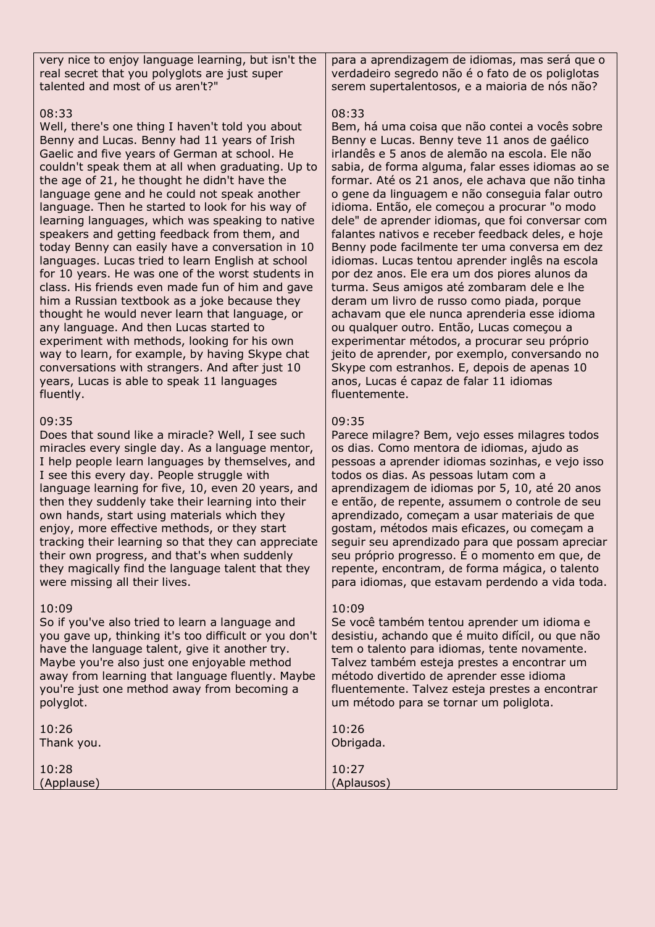very nice to enjoy language learning, but isn't the real secret that you polyglots are just super talented and most of us aren't?"

## 08:33

Well, there's one thing I haven't told you about Benny and Lucas. Benny had 11 years of Irish Gaelic and five years of German at school. He couldn't speak them at all when graduating. Up to the age of 21, he thought he didn't have the language gene and he could not speak another language. Then he started to look for his way of learning languages, which was speaking to native speakers and getting feedback from them, and today Benny can easily have a conversation in 10 languages. Lucas tried to learn English at school for 10 years. He was one of the worst students in class. His friends even made fun of him and gave him a Russian textbook as a joke because they thought he would never learn that language, or any language. And then Lucas started to experiment with methods, looking for his own way to learn, for example, by having Skype chat conversations with strangers. And after just 10 years, Lucas is able to speak 11 languages fluently.

## 09:35

Does that sound like a miracle? Well, I see such miracles every single day. As a language mentor, I help people learn languages by themselves, and I see this every day. People struggle with language learning for five, 10, even 20 years, and then they suddenly take their learning into their own hands, start using materials which they enjoy, more effective methods, or they start tracking their learning so that they can appreciate their own progress, and that's when suddenly they magically find the language talent that they were missing all their lives.

## 10:09

So if you've also tried to learn a language and you gave up, thinking it's too difficult or you don't have the language talent, give it another try. Maybe you're also just one enjoyable method away from learning that language fluently. Maybe you're just one method away from becoming a polyglot.

para a aprendizagem de idiomas, mas será que o verdadeiro segredo não é o fato de os poliglotas serem supertalentosos, e a maioria de nós não?

## 08:33

Bem, há uma coisa que não contei a vocês sobre Benny e Lucas. Benny teve 11 anos de gaélico irlandês e 5 anos de alemão na escola. Ele não sabia, de forma alguma, falar esses idiomas ao se formar. Até os 21 anos, ele achava que não tinha o gene da linguagem e não conseguia falar outro idioma. Então, ele começou a procurar "o modo dele" de aprender idiomas, que foi conversar com falantes nativos e receber feedback deles, e hoje Benny pode facilmente ter uma conversa em dez idiomas. Lucas tentou aprender inglês na escola por dez anos. Ele era um dos piores alunos da turma. Seus amigos até zombaram dele e lhe deram um livro de russo como piada, porque achavam que ele nunca aprenderia esse idioma ou qualquer outro. Então, Lucas começou a experimentar métodos, a procurar seu próprio jeito de aprender, por exemplo, conversando no Skype com estranhos. E, depois de apenas 10 anos, Lucas é capaz de falar 11 idiomas fluentemente.

## 09:35

Parece milagre? Bem, vejo esses milagres todos os dias. Como mentora de idiomas, ajudo as pessoas a aprender idiomas sozinhas, e vejo isso todos os dias. As pessoas lutam com a aprendizagem de idiomas por 5, 10, até 20 anos e então, de repente, assumem o controle de seu aprendizado, começam a usar materiais de que gostam, métodos mais eficazes, ou começam a seguir seu aprendizado para que possam apreciar seu próprio progresso. É o momento em que, de repente, encontram, de forma mágica, o talento para idiomas, que estavam perdendo a vida toda.

## 10:09

Se você também tentou aprender um idioma e desistiu, achando que é muito difícil, ou que não tem o talento para idiomas, tente novamente. Talvez também esteja prestes a encontrar um método divertido de aprender esse idioma fluentemente. Talvez esteja prestes a encontrar um método para se tornar um poliglota.

| an metodo para se tornar ani pongrota. |
|----------------------------------------|
| 10:26<br>Obrigada.                     |
| 10:27<br>(Aplausos)                    |
|                                        |